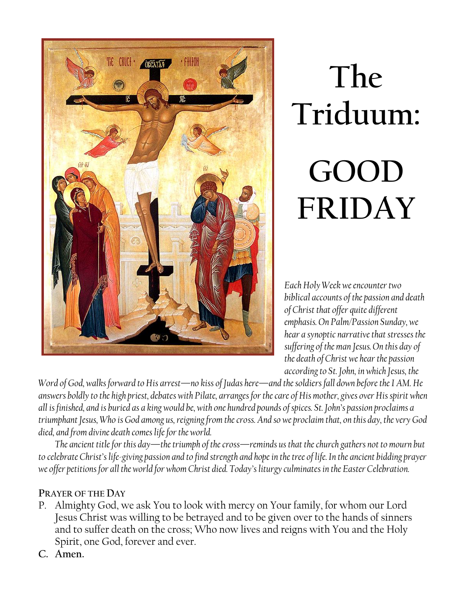

# **The Triduum: GOOD FRIDAY**

*Each Holy Week we encounter two biblical accounts of the passion and death of Christ that offer quite different emphasis. On Palm/Passion Sunday, we hear a synoptic narrative that stresses the suffering of the man Jesus. On this day of the death of Christ we hear the passion according to St. John, in which Jesus, the*

*Word of God, walks forward to His arrest—no kiss of Judas here—and the soldiers fall down before the I AM. He answers boldly to the high priest, debates with Pilate, arranges for the care of His mother, gives over His spirit when all is finished, and is buried as a king would be, with one hundred pounds of spices. St. John's passion proclaims a triumphant Jesus, Who is God among us, reigning from the cross. And so we proclaim that, on this day, the very God died, and from divine death comes life for the world.*

*The ancient title for this day—the triumph of the cross—reminds us that the church gathers not to mourn but to celebrate Christ's life-giving passion and to find strength and hope in the tree of life. In the ancient bidding prayer we offer petitions for all the world for whom Christ died. Today's liturgy culminates in the Easter Celebration.*

#### **PRAYER OF THE DAY**

- P. Almighty God, we ask You to look with mercy on Your family, for whom our Lord Jesus Christ was willing to be betrayed and to be given over to the hands of sinners and to suffer death on the cross; Who now lives and reigns with You and the Holy Spirit, one God, forever and ever.
- **C. Amen.**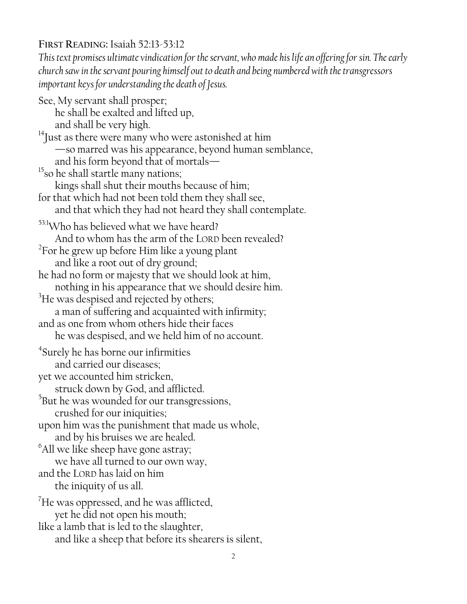## **FIRST READING:** Isaiah 52:13-53:12

*This text promises ultimate vindication for the servant, who made his life an offering for sin. The early church saw in the servant pouring himself out to death and being numbered with the transgressors important keys for understanding the death of Jesus.*

See, My servant shall prosper; he shall be exalted and lifted up, and shall be very high.  $14$ Just as there were many who were astonished at him —so marred was his appearance, beyond human semblance, and his form beyond that of mortals— $^{15}$ so he shall startle many nations; kings shall shut their mouths because of him; for that which had not been told them they shall see, and that which they had not heard they shall contemplate. 53:1Who has believed what we have heard? And to whom has the arm of the LORD been revealed?  $^{2}$ For he grew up before Him like a young plant and like a root out of dry ground; he had no form or majesty that we should look at him, nothing in his appearance that we should desire him. <sup>3</sup>He was despised and rejected by others; a man of suffering and acquainted with infirmity; and as one from whom others hide their faces he was despised, and we held him of no account. 4 Surely he has borne our infirmities and carried our diseases; yet we accounted him stricken, struck down by God, and afflicted.  $5$ But he was wounded for our transgressions, crushed for our iniquities; upon him was the punishment that made us whole, and by his bruises we are healed. <sup>6</sup>All we like sheep have gone astray; we have all turned to our own way, and the LORD has laid on him the iniquity of us all.  $^7$ He was oppressed, and he was afflicted, yet he did not open his mouth; like a lamb that is led to the slaughter, and like a sheep that before its shearers is silent,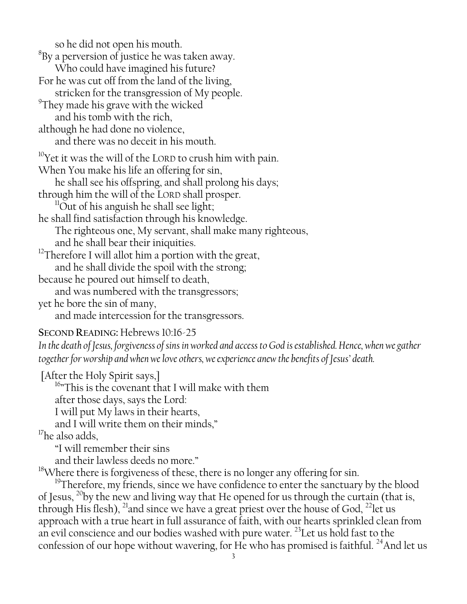so he did not open his mouth.

 ${}^{8}$ By a perversion of justice he was taken away.

Who could have imagined his future?

For he was cut off from the land of the living,

stricken for the transgression of My people.

 $^9$ They made his grave with the wicked and his tomb with the rich,

although he had done no violence,

and there was no deceit in his mouth.

 $10$ <sup>10</sup>Yet it was the will of the LORD to crush him with pain.

When You make his life an offering for sin,

he shall see his offspring, and shall prolong his days;

through him the will of the LORD shall prosper.

 $11$ Out of his anguish he shall see light;

he shall find satisfaction through his knowledge.

The righteous one, My servant, shall make many righteous,

and he shall bear their iniquities.

<sup>12</sup>Therefore I will allot him a portion with the great,

and he shall divide the spoil with the strong;

because he poured out himself to death,

and was numbered with the transgressors;

yet he bore the sin of many,

and made intercession for the transgressors.

#### **SECOND READING:** Hebrews 10:16-25

*In the death of Jesus, forgiveness of sins in worked and access to God is established. Hence, when we gather together for worship and when we love others, we experience anew the benefits of Jesus' death.*

[After the Holy Spirit says,] <sup>16</sup>"This is the covenant that I will make with them after those days, says the Lord: I will put My laws in their hearts, and I will write them on their minds,"

 $17$ he also adds,

"I will remember their sins

and their lawless deeds no more."

<sup>18</sup>Where there is forgiveness of these, there is no longer any offering for sin.

<sup>19</sup>Therefore, my friends, since we have confidence to enter the sanctuary by the blood of Jesus,  $^{20}$ by the new and living way that He opened for us through the curtain (that is, through His flesh), <sup>21</sup>and since we have a great priest over the house of God, <sup>22</sup>let us approach with a true heart in full assurance of faith, with our hearts sprinkled clean from an evil conscience and our bodies washed with pure water.<sup>23</sup>Let us hold fast to the confession of our hope without wavering, for He who has promised is faithful. <sup>24</sup>And let us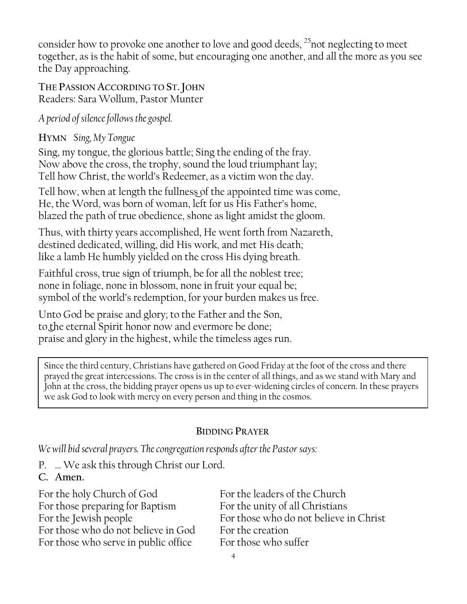consider how to provoke one another to love and good deeds,  $^{25}$  not neglecting to meet together, as is the habit of some, but encouraging one another, and all the more as you see the Day approaching.

**THE PASSION ACCORDING TO ST.JOHN** Readers: Sara Wollum, Pastor Munter

*A period of silence follows the gospel.*

**HYMN** *Sing, My Tongue*

Sing, my tongue, the glorious battle; Sing the ending of the fray. Now above the cross, the trophy, sound the loud triumphant lay; Tell how Christ, the world's Redeemer, as a victim won the day.

Tell how, when at length the fullness of the appointed time was come, He, the Word, was born of woman, left for us His Father's home, blazed the path of true obedience, shone as light amidst the gloom.

Thus, with thirty years accomplished, He went forth from Nazareth, destined dedicated, willing, did His work, and met His death; like a lamb He humbly yielded on the cross His dying breath.

Faithful cross, true sign of triumph, be for all the noblest tree; none in foliage, none in blossom, none in fruit your equal be; symbol of the world's redemption, for your burden makes us free.

Unto God be praise and glory; to the Father and the Son, to the eternal Spirit honor now and evermore be done; praise and glory in the highest, while the timeless ages run.

Since the third century, Christians have gathered on Good Friday at the foot of the cross and there prayed the great intercessions. The cross is in the center of all things, and as we stand with Mary and John at the cross, the bidding prayer opens us up to ever-widening circles of concern. In these prayers we ask God to look with mercy on every person and thing in the cosmos.

# **BIDDING PRAYER**

*We will bid several prayers. The congregation responds after the Pastor says:*

P. … We ask this through Christ our Lord.

# **C. Amen.**

For the holy Church of God For the leaders of the Church For those preparing for Baptism For the unity of all Christians For those who do not believe in God For the creation For those who serve in public office For those who suffer

For the Jewish people For those who do not believe in Christ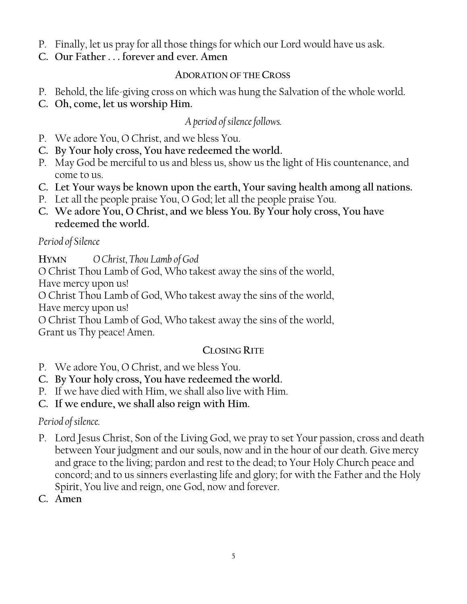- P. Finally, let us pray for all those things for which our Lord would have us ask.
- **C. Our Father . . . forever and ever. Amen**

### **ADORATION OF THE CROSS**

- P. Behold, the life-giving cross on which was hung the Salvation of the whole world.
- **C. Oh, come, let us worship Him.**

# *A period of silence follows.*

- P. We adore You, O Christ, and we bless You.
- **C. By Your holy cross, You have redeemed the world.**
- P. May God be merciful to us and bless us, show us the light of His countenance, and come to us.
- **C. Let Your ways be known upon the earth, Your saving health among all nations.**
- P. Let all the people praise You, O God; let all the people praise You.
- **C. We adore You, O Christ, and we bless You. By Your holy cross, You have redeemed the world.**

# *Period of Silence*

**HYMN** *O Christ, Thou Lamb of God*

O Christ Thou Lamb of God, Who takest away the sins of the world,

Have mercy upon us!

O Christ Thou Lamb of God, Who takest away the sins of the world,

Have mercy upon us!

O Christ Thou Lamb of God, Who takest away the sins of the world, Grant us Thy peace! Amen.

# **CLOSING RITE**

- P. We adore You, O Christ, and we bless You.
- **C. By Your holy cross, You have redeemed the world.**
- P. If we have died with Him, we shall also live with Him.

**C. If we endure, we shall also reign with Him.**

# *Period of silence.*

- P. Lord Jesus Christ, Son of the Living God, we pray to set Your passion, cross and death between Your judgment and our souls, now and in the hour of our death. Give mercy and grace to the living; pardon and rest to the dead; to Your Holy Church peace and concord; and to us sinners everlasting life and glory; for with the Father and the Holy Spirit, You live and reign, one God, now and forever.
- **C. Amen**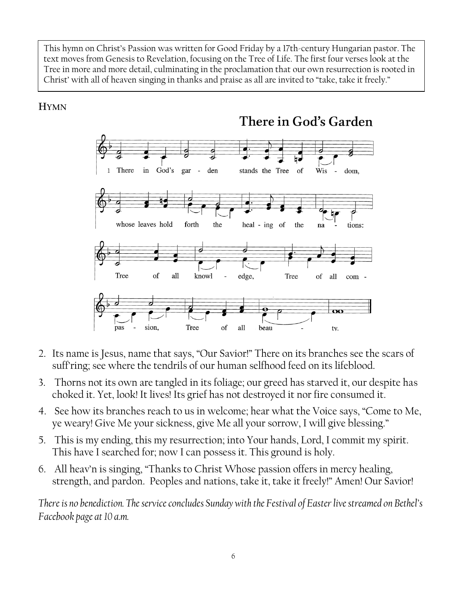This hymn on Christ's Passion was written for Good Friday by a 17th-century Hungarian pastor. The text moves from Genesis to Revelation, focusing on the Tree of Life. The first four verses look at the Tree in more and more detail, culminating in the proclamation that our own resurrection is rooted in Christ' with all of heaven singing in thanks and praise as all are invited to "take, take it freely."

#### **HYMN**



- 2. Its name is Jesus, name that says, "Our Savior!" There on its branches see the scars of suff'ring; see where the tendrils of our human selfhood feed on its lifeblood.
- 3. Thorns not its own are tangled in its foliage; our greed has starved it, our despite has choked it. Yet, look! It lives! Its grief has not destroyed it nor fire consumed it.
- 4. See how its branches reach to us in welcome; hear what the Voice says, "Come to Me, ye weary! Give Me your sickness, give Me all your sorrow, I will give blessing."
- 5. This is my ending, this my resurrection; into Your hands, Lord, I commit my spirit. This have I searched for; now I can possess it. This ground is holy.
- 6. All heav'n is singing, "Thanks to Christ Whose passion offers in mercy healing, strength, and pardon. Peoples and nations, take it, take it freely!" Amen! Our Savior!

*There is no benediction. The service concludes Sunday with the Festival of Easter live streamed on Bethel's Facebook page at 10 a.m.*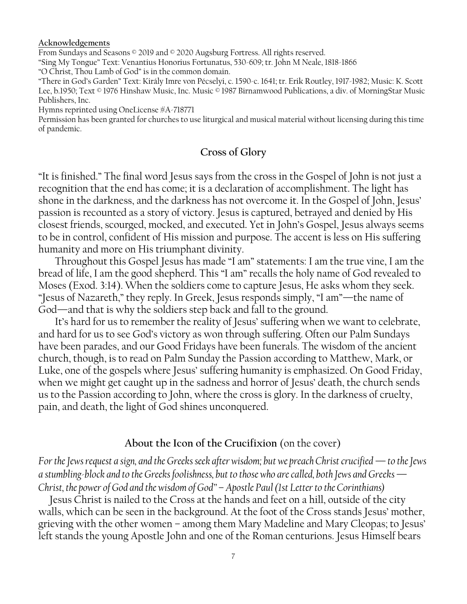#### **Acknowledgements**

From Sundays and Seasons  $\circ$  2019 and  $\circ$  2020 Augsburg Fortress. All rights reserved. "Sing My Tongue" Text: Venantius Honorius Fortunatus, 530-609; tr. John M Neale, 1818-1866 "O Christ, Thou Lamb of God" is in the common domain.

"There in God's Garden" Text: Király Imre von Pécselyi, c. 1590-c. 1641; tr. Erik Routley, 1917-1982; Music: K. Scott Lee, b.1950; Text © 1976 Hinshaw Music, Inc. Music © 1987 Birnamwood Publications, a div. of MorningStar Music Publishers, Inc.

Hymns reprinted using OneLicense #A-718771

Permission has been granted for churches to use liturgical and musical material without licensing during this time of pandemic.

#### **Cross of Glory**

"It is finished." The final word Jesus says from the cross in the Gospel of John is not just a recognition that the end has come; it is a declaration of accomplishment. The light has shone in the darkness, and the darkness has not overcome it. In the Gospel of John, Jesus' passion is recounted as a story of victory. Jesus is captured, betrayed and denied by His closest friends, scourged, mocked, and executed. Yet in John's Gospel, Jesus always seems to be in control, confident of His mission and purpose. The accent is less on His suffering humanity and more on His triumphant divinity.

Throughout this Gospel Jesus has made "I am" statements: I am the true vine, I am the bread of life, I am the good shepherd. This "I am" recalls the holy name of God revealed to Moses (Exod. 3:14). When the soldiers come to capture Jesus, He asks whom they seek. "Jesus of Nazareth," they reply. In Greek, Jesus responds simply, "I am"—the name of God—and that is why the soldiers step back and fall to the ground.

It's hard for us to remember the reality of Jesus' suffering when we want to celebrate, and hard for us to see God's victory as won through suffering. Often our Palm Sundays have been parades, and our Good Fridays have been funerals. The wisdom of the ancient church, though, is to read on Palm Sunday the Passion according to Matthew, Mark, or Luke, one of the gospels where Jesus' suffering humanity is emphasized. On Good Friday, when we might get caught up in the sadness and horror of Jesus' death, the church sends us to the Passion according to John, where the cross is glory. In the darkness of cruelty, pain, and death, the light of God shines unconquered.

#### **About the Icon of the Crucifixion** (on the cover)

*For the Jews request a sign, and the Greeks seek after wisdom; but we preach Christ crucified — to the Jews a stumbling-block and to the Greeks foolishness, but to those who are called, both Jews and Greeks — Christ, the power of God and the wisdom of God" – Apostle Paul (1st Letter to the Corinthians)*

Jesus Christ is nailed to the Cross at the hands and feet on a hill, outside of the city walls, which can be seen in the background. At the foot of the Cross stands Jesus' mother, grieving with the other women – among them Mary Madeline and Mary Cleopas; to Jesus' left stands the young Apostle John and one of the Roman centurions. Jesus Himself bears